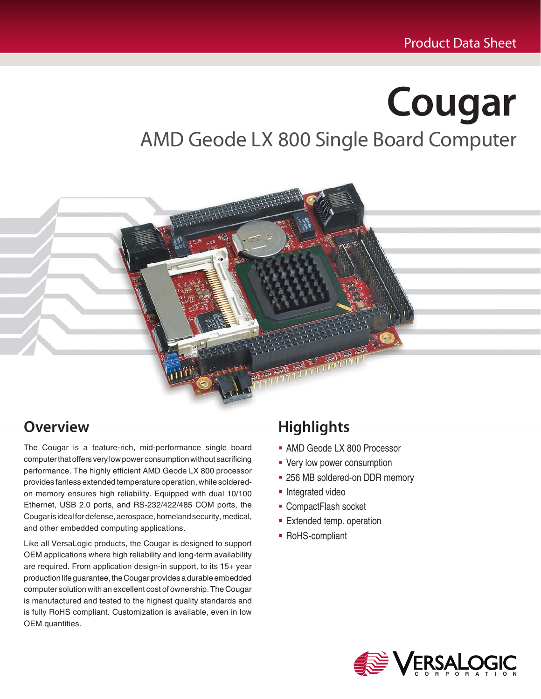# **Cougar** AMD Geode LX 800 Single Board Computer



# **Overview**

The Cougar is a feature-rich, mid-performance single board computer that offers very low power consumption without sacrificing performance. The highly efficient AMD Geode LX 800 processor provides fanless extended temperature operation, while solderedon memory ensures high reliability. Equipped with dual 10/100 Ethernet, USB 2.0 ports, and RS-232/422/485 COM ports, the Cougar is ideal for defense, aerospace, homeland security, medical, and other embedded computing applications.

Like all VersaLogic products, the Cougar is designed to support OEM applications where high reliability and long-term availability are required. From application design-in support, to its 15+ year production life guarantee, the Cougar provides a durable embedded computer solution with an excellent cost of ownership. The Cougar is manufactured and tested to the highest quality standards and is fully RoHS compliant. Customization is available, even in low OEM quantities.

# **Highlights**

- AMD Geode LX 800 Processor
- Very low power consumption
- 256 MB soldered-on DDR memory
- Integrated video
- CompactFlash socket
- **Extended temp. operation**
- RoHS-compliant

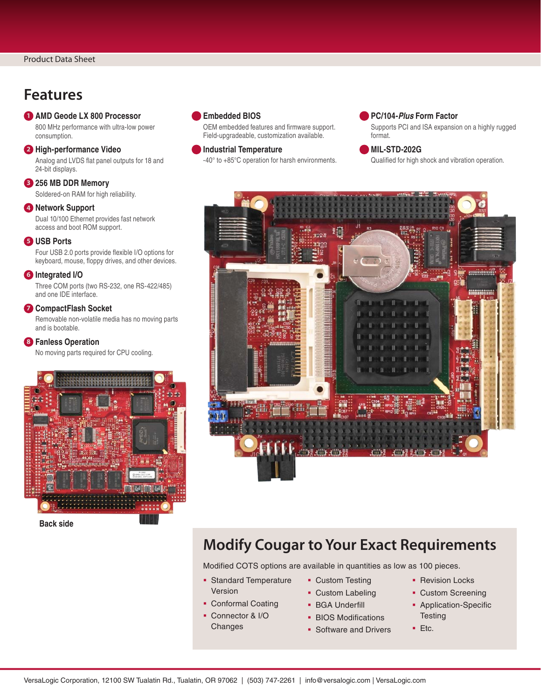### **Features**

#### **1 AMD Geode LX 800 Processor**

800 MHz performance with ultra-low power consumption.

#### **2 High-performance Video**

Analog and LVDS flat panel outputs for 18 and 24-bit displays.

#### **3 256 MB DDR Memory** Soldered-on RAM for high reliability.

**4 Network Support**

Dual 10/100 Ethernet provides fast network access and boot ROM support.

#### **5 USB Ports**

Four USB 2.0 ports provide flexible I/O options for keyboard, mouse, floppy drives, and other devices.

#### **6 Integrated I/O**

Three COM ports (two RS-232, one RS-422/485) and one IDE interface.

#### **7 CompactFlash Socket**

Removable non-volatile media has no moving parts and is bootable.

#### **8 Fanless Operation**

No moving parts required for CPU cooling.



**Back side**

#### **Embedded BIOS**

OEM embedded features and firmware support. Field-upgradeable, customization available.

#### **Industrial Temperature**

-40° to +85°C operation for harsh environments.

#### **PC/104-Plus Form Factor**

Supports PCI and ISA expansion on a highly rugged format.

#### **MIL-STD-202G**

Qualified for high shock and vibration operation.



### **Modify Cougar to Your Exact Requirements**

Modified COTS options are available in quantities as low as 100 pieces.

- **Standard Temperature** Version
- Conformal Coating
- Connector & I/O **Changes**
- Custom Testing **Custom Labeling**
- **BGA Underfill**
- **BIOS Modifications**
- 
- Software and Drivers
- **Revision Locks**
- **Custom Screening**
- **-** Application-Specific **Testing**
- $E_{\text{t}}$ .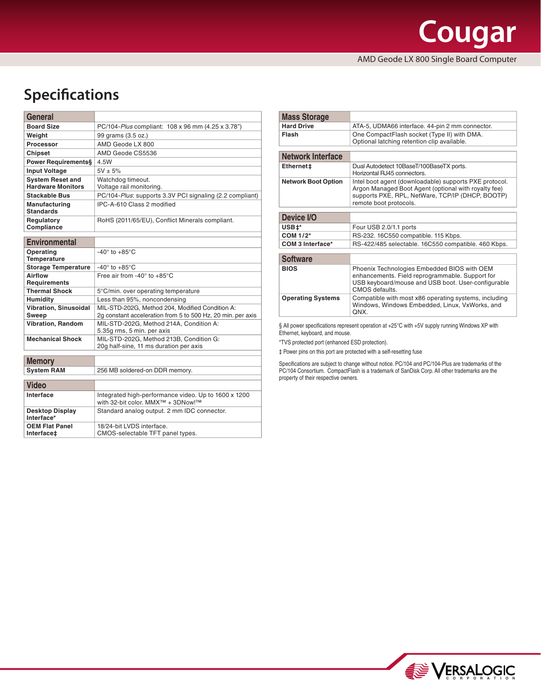# **Specifications**

| General                           |                                                          |
|-----------------------------------|----------------------------------------------------------|
| <b>Board Size</b>                 | PC/104-Plus compliant: 108 x 96 mm (4.25 x 3.78")        |
| Weight                            | 99 grams (3.5 oz.)                                       |
| <b>Processor</b>                  | AMD Geode LX 800                                         |
| <b>Chipset</b>                    | AMD Geode CS5536                                         |
| <b>Power Requirementss</b>        | 4.5W                                                     |
| <b>Input Voltage</b>              | $5V \pm 5%$                                              |
| <b>System Reset and</b>           | Watchdog timeout.                                        |
| <b>Hardware Monitors</b>          | Voltage rail monitoring.                                 |
| <b>Stackable Bus</b>              | PC/104-Plus: supports 3.3V PCI signaling (2.2 compliant) |
| Manufacturing<br><b>Standards</b> | IPC-A-610 Class 2 modified                               |
| Regulatory<br>Compliance          | RoHS (2011/65/EU), Conflict Minerals compliant.          |
|                                   |                                                          |
| Environmental                     |                                                          |

| <b>Environmental</b>                  |                                                                                                                |  |  |
|---------------------------------------|----------------------------------------------------------------------------------------------------------------|--|--|
| Operating<br><b>Temperature</b>       | $-40^\circ$ to $+85^\circ$ C                                                                                   |  |  |
| <b>Storage Temperature</b>            | $-40^\circ$ to $+85^\circ$ C                                                                                   |  |  |
| Airflow<br><b>Requirements</b>        | Free air from -40° to +85°C                                                                                    |  |  |
| <b>Thermal Shock</b>                  | 5°C/min. over operating temperature                                                                            |  |  |
| <b>Humidity</b>                       | Less than 95%, noncondensing                                                                                   |  |  |
| <b>Vibration, Sinusoidal</b><br>Sweep | MIL-STD-202G, Method 204, Modified Condition A:<br>2g constant acceleration from 5 to 500 Hz, 20 min. per axis |  |  |
| <b>Vibration, Random</b>              | MIL-STD-202G, Method 214A, Condition A:<br>5.35q rms, 5 min. per axis                                          |  |  |
| <b>Mechanical Shock</b>               | MIL-STD-202G, Method 213B, Condition G:<br>20g half-sine, 11 ms duration per axis                              |  |  |
| <b>Memory</b>                         |                                                                                                                |  |  |
| <b>System RAM</b>                     | 256 MB soldered-on DDR memory.                                                                                 |  |  |
| Video                                 |                                                                                                                |  |  |
| Interface                             | Integrated high-performance video. Up to 1600 x 1200<br>with 32-bit color. MMX <sup>™</sup> + 3DNow!™          |  |  |
| <b>Desktop Display</b><br>Interface*  | Standard analog output. 2 mm IDC connector.                                                                    |  |  |
| <b>OEM Flat Panel</b><br>Interface‡   | 18/24-bit LVDS interface.<br>CMOS-selectable TFT panel types.                                                  |  |  |

| <b>Mass Storage</b>        |                                                                                                                                                                                              |  |  |
|----------------------------|----------------------------------------------------------------------------------------------------------------------------------------------------------------------------------------------|--|--|
| <b>Hard Drive</b>          | ATA-5, UDMA66 interface. 44-pin 2 mm connector.                                                                                                                                              |  |  |
| Flash                      | One CompactFlash socket (Type II) with DMA.<br>Optional latching retention clip available.                                                                                                   |  |  |
| Network Interface          |                                                                                                                                                                                              |  |  |
| Ethernet ±                 | Dual Autodetect 10BaseT/100BaseTX ports.<br>Horizontal RJ45 connectors.                                                                                                                      |  |  |
| <b>Network Boot Option</b> | Intel boot agent (downloadable) supports PXE protocol.<br>Argon Managed Boot Agent (optional with royalty fee)<br>supports PXE, RPL, NetWare, TCP/IP (DHCP, BOOTP)<br>remote boot protocols. |  |  |
|                            |                                                                                                                                                                                              |  |  |
| Device I/O                 |                                                                                                                                                                                              |  |  |
| USB <sup>+*</sup>          | Four USB 2.0/1.1 ports                                                                                                                                                                       |  |  |
| COM 1/2*                   | RS-232. 16C550 compatible. 115 Kbps.                                                                                                                                                         |  |  |
| COM 3 Interface*           | RS-422/485 selectable. 16C550 compatible. 460 Kbps.                                                                                                                                          |  |  |
| <b>Software</b>            |                                                                                                                                                                                              |  |  |
| <b>BIOS</b>                | Phoenix Technologies Embedded BIOS with OEM<br>enhancements. Field reprogrammable. Support for<br>USB keyboard/mouse and USB boot. User-configurable<br>CMOS defaults                        |  |  |
| <b>Operating Systems</b>   | Compatible with most x86 operating systems, including<br>Windows, Windows Embedded, Linux, VxWorks, and<br>ONX.                                                                              |  |  |

§ All power specifications represent operation at +25°C with +5V supply running Windows XP with Ethernet, keyboard, and mouse.

\*TVS protected port (enhanced ESD protection).

‡ Power pins on this port are protected with a self-resetting fuse

Specifications are subject to change without notice. PC/104 and PC/104-Plus are trademarks of the PC/104 Consortium. CompactFlash is a trademark of SanDisk Corp. All other trademarks are the property of their respective owners.